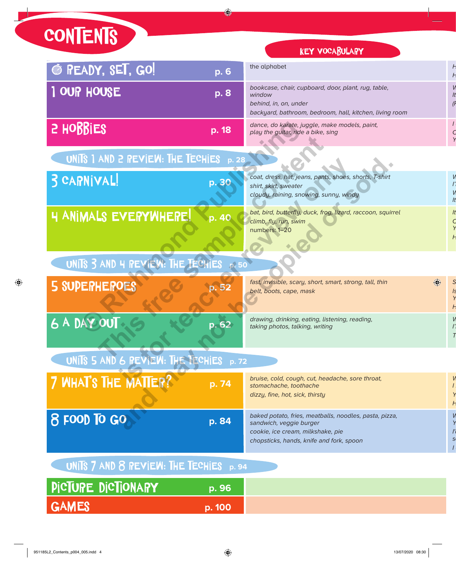## **CONTENTS**

## **KEY VOCABULARY**

| © READY, SET, GO!                             | p. 6   | the alphabet                                                                                                                                                       |  |
|-----------------------------------------------|--------|--------------------------------------------------------------------------------------------------------------------------------------------------------------------|--|
| 1 OUP HOUSE                                   | p. 8   | bookcase, chair, cupboard, door, plant, rug, table,<br>window<br>behind, in, on, under<br>backyard, bathroom, bedroom, hall, kitchen, living room                  |  |
| <b>S</b> HOBBIES                              | p. 18  | dance, do karate, juggle, make models, paint,<br>play the guitar, ride a bike, sing                                                                                |  |
| UNITS 1 AND 2 REVIEW: THE TECHIES p. 28       |        |                                                                                                                                                                    |  |
| 3 CAPNIVAL!                                   | p. 30  | coat, dress, hat, jeans, pants, shoes, shorts, T-shirt<br>shirt, skirt, sweater<br>cloudy, raining, snowing, sunny, windy                                          |  |
| <b>4 ANIMALS EVERYWHERE!</b>                  | p. 40  | bat, bird, butterfly, duck, frog, lizard, raccoon, squirrel<br>climb, fly, run, swim<br>numbers: 1-20                                                              |  |
| UNITS 3 AND 4 PEVIEW: THE TECHIES p. 50       |        |                                                                                                                                                                    |  |
| <b>5 SUPERHEROES</b>                          |        | fast, invisible, scary, short, smart, strong, tall, thin<br>belt, boots, cape, mask                                                                                |  |
| 6 A DAY OUT                                   | p.62   | drawing, drinking, eating, listening, reading,<br>taking photos, talking, writing                                                                                  |  |
| UNITS 5 AND 6 PEVIEW: THE TECHIES p. 72       |        |                                                                                                                                                                    |  |
| 7 WHAT'S THE MATTER?                          | p. 74  | bruise, cold, cough, cut, headache, sore throat,<br>stomachache, toothache<br>dizzy, fine, hot, sick, thirsty                                                      |  |
| 8 FOOD TO GO                                  | p. 84  | baked potato, fries, meatballs, noodles, pasta, pizza,<br>sandwich, veggie burger<br>cookie, ice cream, milkshake, pie<br>chopsticks, hands, knife and fork, spoon |  |
| UNITS $7$ AND $8$ REVIEW: THE TECHIES $p. 94$ |        |                                                                                                                                                                    |  |
| PICTURE DICTIONARY                            | p. 96  |                                                                                                                                                                    |  |
| <b>GAMES</b>                                  | p. 100 |                                                                                                                                                                    |  |